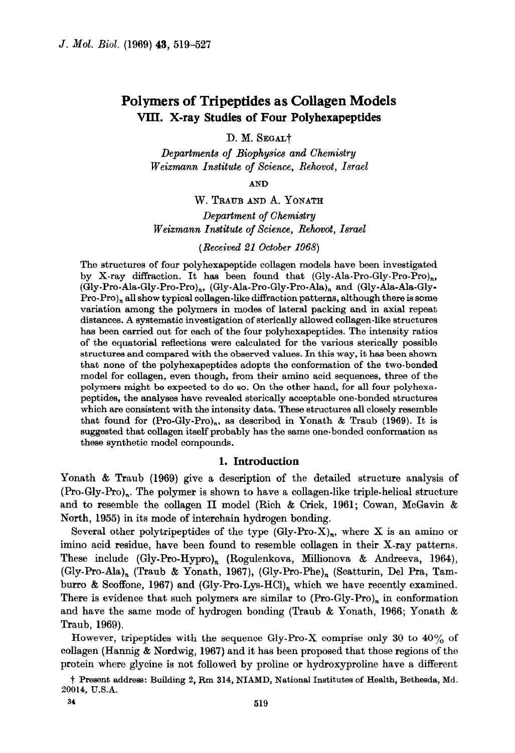# Polymers of Tripeptides as Collagen Models VIII. X-ray Studies of Four Polyhexapeptides

D. M. SEGALT

Departments of Biophysics and Chemistry Weizmann Institute of Science, Rehovot, Israel

AND

### W. TRAUB AND A. YONATH

Department of Chemistry Weizmann Institute of Science, Rehovot, Israel

(Received 21 October 1968)

The structures of four polyhexapeptide collagen models have been investigated by X-ray diffraction. It has been found that (Gly-Ala-Pro-Gly-Pro-Pro),, (Gly-Pro-Ala-Gly-Pro-Pro),, (Gly-Ala-Pro-Gly-Pro-Ala), and (Gly-Ala-Ala-Gly- $Pro-Pro$ , all show typical collagen-like diffraction patterns, although there is some variation among the polymers in modes of lateral packing and in axial repeat distances. A systematic investigation of sterically allowed collagen-like structures has been carried out for each of the four polyhexapeptides. The intensity ratios of the equatorial reflections were calculated for the various sterically possible structures and compared with the observed values. In this way, it has been shown that none of the polyhexapeptides adopts the conformation of the two-bonded model for collagen, even though, from their amino acid sequences, three of the polymers might be expected to do so. On the other hand, for all four polyhexapeptides, the analyses have revealed sterically acceptable one-bonded structures which are consistent with the intensity data. These structures all closely resemble that found for  $(Pro-Gly-Pro)_n$ , as described in Yonath & Traub (1969). It is suggested that collagen itself probably has the same one-bonded conformation as these synthetic model compounds.

### 1. Introduction

Yonath & Traub (1969) give a description of the detailed structure analysis of (Pro-Gly-Pro),. The polymer is shown to have a collagen-like triple-helical structure and to resemble the collagen II model (Rich & Crick, 1961; Cowan, McGavin & North, 1955) in its mode of interchain hydrogen bonding.

Several other polytripeptides of the type  $(Gly-Pro-X)<sub>n</sub>$ , where X is an amino or imino acid residue, have been found to resemble collagen in their X-ray patterns. These include (Gly-Pro-Hypro)<sub>n</sub> (Rogulenkova, Millionova & Andreeva, 1964),  $(Gly-Pro-Ala)<sub>n</sub>$  (Traub & Yonath, 1967),  $(Gly-Pro-Phe)<sub>n</sub>$  (Scatturin, Del Pra, Tamburro & Scoffone, 1967) and (Gly-Pro-Lys-HCl), which we have recently examined. There is evidence that such polymers are similar to  $(Pro-Gly-Pro)<sub>n</sub>$  in conformation and have the same mode of hydrogen bonding (Traub & Yonath, 1966; Yonath & Traub, 1969).

However, tripeptides with the sequence Gly-Pro-X comprise only 30 to  $40\%$  of collagen (Hannig  $&$  Nordwig, 1967) and it has been proposed that those regions of the protein where glycine is not followed by proline or hydroxyproline have a different

i Present address: Building 2, Rm 314, NIAMD, National Institutes of Health, Bethesda, Md. 20014, U.S.A.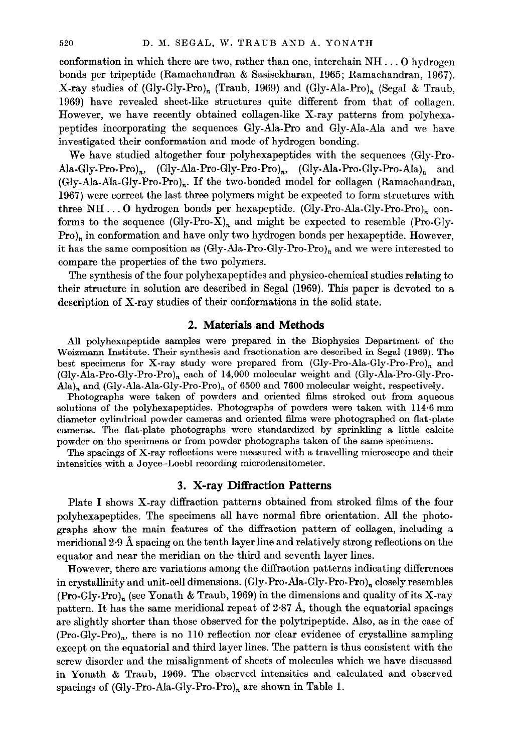conformation in which there are two, rather than one, interchain NH . . . 0 hydrogen bonds per tripeptide (Ramachandran & Sasisekharan, 1965; Ramachandran, 1967). X-ray studies of (Gly-Gly-Pro)<sub>n</sub> (Traub, 1969) and (Gly-Ala-Pro)<sub>n</sub> (Segal & Traub, 1969) have revealed sheet-like structures quite different from that of collagen. However, we have recently obtained collagen-like X-ray patterns from polyhexapeptides incorporating the sequences Gly-Ala-Pro and Gly-Ala-Ala and we have investigated their conformation and mode of hydrogen bonding.

We have studied altogether four polyhexapeptides with the sequences (Gly-Pro-Ala-Gly-Pro-Pro)<sub>n</sub>, (Gly-Ala-Pro-Gly-Pro-Pro)<sub>n</sub>, (Gly-Ala-Pro-Gly-Pro-Ala)<sub>n</sub> and  $(Gly-Ada-Ada-Gly-Pro-Pro)_n$ . If the two-bonded model for collagen (Ramachandran, 1967) were correct the last three polymers might be expected to form structures with three NH...O hydrogen bonds per hexapeptide. (Gly-Pro-Ala-Gly-Pro-Pro)<sub>n</sub> conforms to the sequence  $(Gly-Pro-X)<sub>n</sub>$  and might be expected to resemble (Pro-Gly-Pro), in conformation and have only two hydrogen bonds per hexapeptide. However, it has the same composition as  $(Gly-{\text{Al}}a-\text{Pro-Gly-Pro-Pro})_n$  and we were interested to compare the properties of the two polymers.

The synthesis of the four polyhexapeptides and physico-chemical studies relating to their structure in solution are described in Segal (1969). This paper is devoted to a description of X-ray studies of their conformations in the solid state.

### 2. Materials and Methods

All polyhexapeptide samples were prepared in the Biophysics Department of the Weizmann Institute. Their synthesis and fractionation are described in Segal (1969). The best specimens for X-ray study were prepared from  $(Gly-Pro-Ala-Gly-Pro-Pro)_n$  and (Gly-Ala-Pro-Gly-Pro-Pro),, each of 14,000 molecular weight and (Gly-Ala-Pro-Gly-Pro- $\text{Ala}\text{h}$ , and (Gly-Ala-Ala-Gly-Pro-Pro)<sub>n</sub> of 6500 and 7600 molecular weight, respectively.

Photographs were taken of powders and oriented films stroked out from aqueous solutions of the polyhexapeptides. Photographs of powders were taken with 114.6 mm diameter cylindrical powder cameras and oriented films were photographed on flat-plate cameras. The flat-plate photographs were standardized by sprinkling a little calcite powder on the specimens or from powder photographs taken of the same specimens.

The spacings of X-ray reflections were measured with a travelling microscope and their intensities with a Joyce-Loebl recording microdensitometer.

# 3. X-ray Diffraction Patterns

Plate I shows X-ray diffraction patterns obtained from stroked films of the four polyhexapeptides. The specimens all have normal fibre orientation. All the photographs show the main features of the diffraction pattern of collagen, including a meridional 2.9 A spacing on the tenth layer line and relatively strong reflections on the equator and near the meridian on the third and seventh layer lines.

However, there are variations among the diffraction patterns indicating differences in crystallinity and unit-cell dimensions. (Gly-Pro-Ala-Gly-Pro-Pro)<sub>n</sub> closely resembles  $(Pro-Gly-Pro)<sub>n</sub>$  (see Yonath & Traub, 1969) in the dimensions and quality of its X-ray pattern. It has the same meridional repeat of  $2.87$  Å, though the equatorial spacings are slightly shorter than those observed for the polytripeptide. Also, as in the case of (Pro-Gly-Pro),, there is no 110 reflection nor clear evidence of crystalline sampling except on the equatorial and third layer lines. The pattern is thus consistent with the screw disorder and the misalignment of sheets of molecules which we have discussed in Yonath & Traub, 1969. The observed intensities and calculated and observed spacings of  $(Gly-Pro-Ala-Gly-Pro-Pro)<sub>n</sub>$  are shown in Table 1.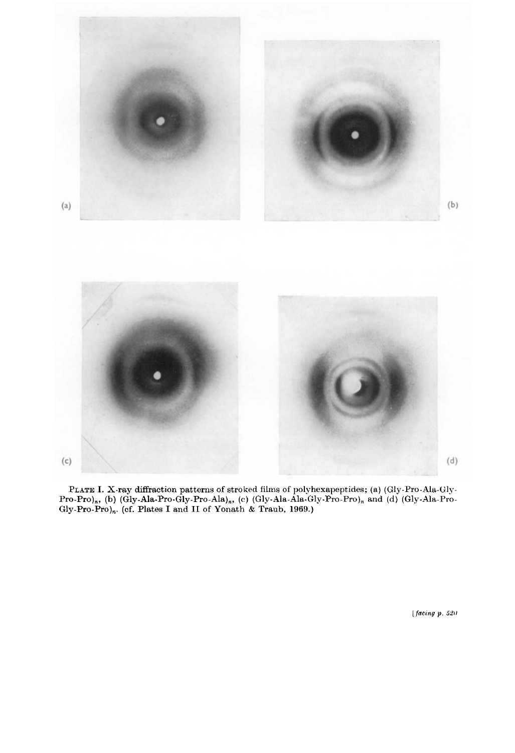

PLATE I. X-ray diffraction patterns of stroked films of polyhexapeptides; (a) (Gly-Pro-Ala-Pro-Pro),, (b) (Gly-Ala-Pro-Gly-Pro-Ala),, (c) (Gly-Ala-Ala-Gly-Pro-Pro), and (d) (Gly-Ala-Pro-Gly-Pro-Pro)<sub>n</sub>. (cf. Plates I and II of Yonath & Traub, 1969.)

[ $facing p. 520$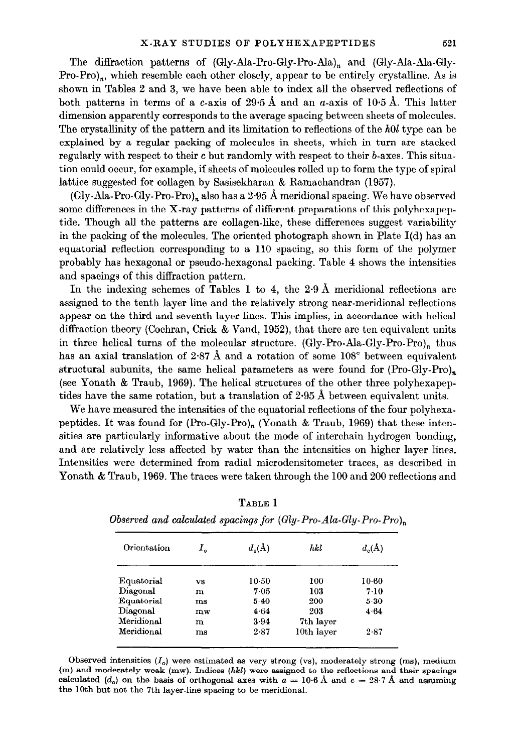The diffraction patterns of (Gly-Ala-Pro-Gly-Pro-Ala), and (Gly-Ala-Ala-Gly- $Pro-Pro$ )<sub>n</sub>, which resemble each other closely, appear to be entirely crystalline. As is shown in Tables 2 and 3, we have been able to index all the observed reflections of both patterns in terms of a c-axis of 29.5 Å and an  $a$ -axis of 10.5 Å. This latter dimension apparently corresponds to the average spacing between sheets of molecules. The crystallinity of the pattern and its limitation to reflections of the  $h0l$  type can be explained by a regular packing of molecules in sheets, which in turn are stacked regularly with respect to their c but randomly with respect to their b-axes. This situation could occur, for example, if sheets of molecules rolled up to form the type of spiral lattice suggested for collagen by Sasisekharan & Ramachandran (1957).

(Gly-Ala-Pro-Gly-Pro-Pro), also has a 2.95 Å meridional spacing. We have observed some differences in the X-ray patterns of different preparations of this polyhexapeptide. Though all the patterns are collagen-like, these differences suggest variability in the packing of the molecules. The oriented photograph shown in Plate  $I(d)$  has an equatorial reflection corresponding to a 110 spacing, so this form of the polymer probably has hexagonal or pseudo-hexagonal packing. Table 4 shows the intensities and spacings of this diffraction pattern.

In the indexing schemes of Tables 1 to 4, the 2.9 A meridional reflections are assigned to the tenth layer line and the relatively strong near-meridional reflections appear on the third and seventh layer lines, This implies, in accordance with helical diffraction theory (Cochran, Crick & Vand, 1952), that there are ten equivalent units in three helical turns of the molecular structure. (Gly-Pro-Ala-Gly-Pro-Pro)<sub>n</sub> thus has an axial translation of 2.87 Å and a rotation of some  $108^{\circ}$  between equivalent structural subunits, the same helical parameters as were found for  $(Pro-Gly-Pro)_n$ (see Yonath & Traub, 1969). The helical structures of the other three polyhexapeptides have the same rotation, but a translation of  $2.95 \text{ Å}$  between equivalent units.

We have measured the intensities of the equatorial reflections of the four polyhexapeptides. It was found for (Pro-Gly-Pro)<sub>n</sub> (Yonath & Traub, 1969) that these intensities are particularly informative about the mode of interchain hydrogen bonding, and are relatively less affected by water than the intensities on higher layer lines. Intensities were determined from radial microdensitometer traces, as described in Yonath & Traub, 1969. The traces were taken through the 100 and 200 reflections and

| Orientation | I.          | $d_{\alpha}(\mathbf{A})$ | hkl        | $d_c(A)$ |
|-------------|-------------|--------------------------|------------|----------|
|             |             |                          |            |          |
| Equatorial  | VS          | $10-50$                  | 100        | $10-60$  |
| Diagonal    | m           | $7 - 0.5$                | 103        | $7 - 10$ |
| Equatorial  | $_{\rm ms}$ | $5-40$                   | 200        | $5 - 30$ |
| Diagonal    | mw          | 4.64                     | 203        | 4.64     |
| Meridional  | m           | 3.94                     | 7th layer  |          |
| Meridional  | ms          | 2.87                     | 10th layer | 2.87     |

TABLE 1

Observed intensities  $(I<sub>o</sub>)$  were estimated as very strong (vs), moderately strong (ms), medium (m) and moderately weak (mw). Indices (hkl) were assigned to the reflections and their spacings calculated  $(d_o)$  on the basis of orthogonal axes with  $a = 10.6$  Å and  $c = 28.7$  Å and assuming the 10th but not the 7th layer-line spacing to be meridional.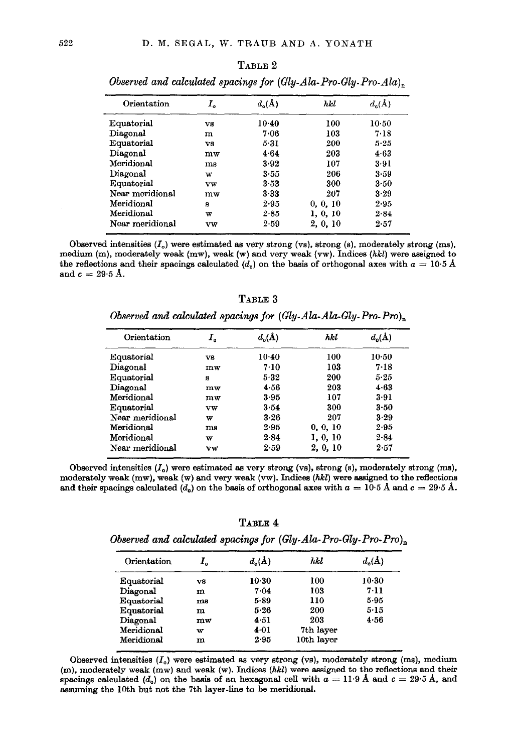#### TABLE 2

| Orientation     | I.    | $d_{\alpha}(A)$ | hkl      | $d_{\alpha}(\AA)$ |
|-----------------|-------|-----------------|----------|-------------------|
| Equatorial      | vs    | $10-40$         | 100      | $10-50$           |
| Diagonal        | m     | 7.06            | 103      | 7.18              |
| Equatorial      | vs    | 5.31            | 200      | 5.25              |
| Diagonal        | $m$ w | 4.64            | 203      | 4.63              |
| Meridional      | ms    | 3.92            | 107      | 3.91              |
| Diagonal        | w     | $3 - 55$        | 206      | 3.59              |
| Equatorial      | vw    | 3.53            | 300      | 3.50              |
| Near meridional | mw    | 3.33            | 207      | 3.29              |
| Meridional      | я     | $2 - 95$        | 0, 0, 10 | 2.95              |
| Meridional      | w     | 2.85            | 1, 0, 10 | 2.84              |
| Near meridional | vw    | 2.59            | 2, 0, 10 | 2.57              |

Observed and calculated spacings for  $(Gly-Ala-Pro-Gly-Pro-Ala)_{n}$ 

Observed intensities  $(I_0)$  were estimated as very strong (vs), strong (s), moderately strong (ms), medium (m), moderately weak (mw), weak (w) and very weak (vw). Indices  $(hkl)$  were assigned to the reflections and their spacings calculated  $(d_o)$  on the basis of orthogonal axes with  $a = 10.5 \text{ Å}$ and  $c = 29.5$  Å.

TABLE 3 Observed and calculated spacings for  $(Gly-Ala-Ala-Gly-Pro-Pro)_{n}$ 

| Orientation     | I.    | $d_{\alpha}(\mathbf{A})$ | hkl      | $d_{\alpha}(\mathbf{A})$ |
|-----------------|-------|--------------------------|----------|--------------------------|
| Equatorial      | vg    | $10-40$                  | 100      | $10 - 50$                |
| Diagonal        | $m$ w | 7.10                     | 103      | 7.18                     |
| Equatorial      | я     | 5.32                     | 200      | 5.25                     |
| Diagonal        | mw    | 4.56                     | 203      | 4.63                     |
| Meridional      | $m$ w | 3.95                     | 107      | 3.91                     |
| Equatorial      | vw    | 3.54                     | 300      | 3.50                     |
| Near meridional | w     | 3.26                     | 207      | 3.29                     |
| Meridional      | ms    | 2.95                     | 0, 0, 10 | 2.95                     |
| Meridional      | w     | 2.84                     | 1, 0, 10 | 2.84                     |
| Near meridional | vw    | 2.59                     | 2, 0, 10 | 2.57                     |

Observed intensities  $(I<sub>o</sub>)$  were estimated as very strong (vs), strong (s), moderately strong (ms), moderately weak  $(mw)$ , weak  $(w)$  and very weak  $(vw)$ . Indices  $(hkl)$  were assigned to the reflections and their spacings calculated (d<sub>o</sub>) on the basis of orthogonal axes with  $a = 10.5$  Å and  $c = 29.5$  Å.

TABLE 4

|  | Observed and calculated spacings for $(Gly-Ala\text{-}Pro-Gly\text{-}Pro\text{-}Pro)_{x}$ |  |
|--|-------------------------------------------------------------------------------------------|--|
|  |                                                                                           |  |

| Orientation | ı.          | $d_{\alpha}(\mathbf{A})$ | hkl        | $d_n(A)$ |
|-------------|-------------|--------------------------|------------|----------|
| Equatorial  | vs          | $10-30$                  | 100        | $10-30$  |
| Diagonal    | m           | 7.04                     | 103        | 7.11     |
| Equatorial  | $_{\rm ms}$ | 5.89                     | 110        | 5.95     |
| Equatorial  | m           | 5.26                     | 200        | 5.15     |
| Diagonal    | $m$ w       | 4.51                     | 203        | 4.56     |
| Meridional  | w           | 4.01                     | 7th layer  |          |
| Meridional  | m           | 2.95                     | 10th layer |          |

Observed intensities  $(I_0)$  were estimated as very strong (vs), moderately strong (ms), medium (m), moderately weak (mw) and weak (w). Indices (hkl) were assigned to the reflections and their spacings calculated ( $d_0$ ) on the basis of an hexagonal cell with  $a = 11.9$  Å and  $c = 29.5$  Å, and assuming the 10th but not the 7th layer-line to be meridional.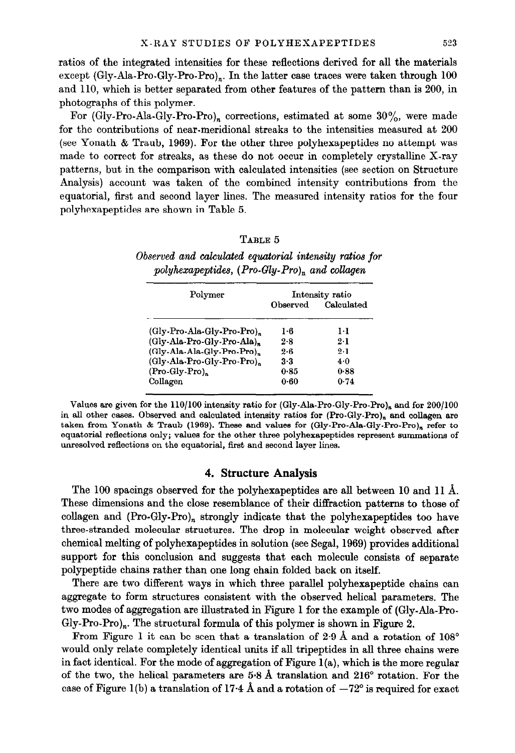ratios of the integrated intensities for these reflections derived for all the materials except (Gly-Ala-Pro-Gly-Pro-Pro)<sub>n</sub>. In the latter case traces were taken through  $100$ and 110, which is better separated from other features of the pattern than is 200, in photographs of this polymer.

For (Gly-Pro-Ala-Gly-Pro-Pro), corrections, estimated at some  $30\%$ , were made for the contributions of near-meridional streaks to the intensities measured at 200 (see Ponath & Traub, 1969). For the other three polyhexapeptides no attempt was made to correct for streaks, as these do not occur in completely crystalline X-ray patterns, but in the comparison with calculated intensities (see section on Structure Analysis) account was taken of the combined intensity contributions from the equatorial, first and second layer lines. The measured intensity ratios for the four polyhexapeptides are shown in Table 5.

## TABLE 5

Observed and calculated equatorial intensity ratios for polyhexapeptides,  $(Pro-Gly-Pro)_{n}$  and collagen

| Polymer                                | Intensity ratio |            |  |  |
|----------------------------------------|-----------------|------------|--|--|
|                                        | Observed        | Calculated |  |  |
| (Gly-Pro-Ala-Gly-Pro-Pro)              | 1.6             | 1·1        |  |  |
| (Gly-Ala-Pro-Gly-Pro-Ala),             | 2.8             | 2.1        |  |  |
| (Gly-Ala-Ala-Gly-Pro-Pro) <sub>n</sub> | $2 - 6$         | 9.1        |  |  |
| (Gly-Ala-Pro-Gly-Pro-Pro),             | 3.3             | 4.0        |  |  |
| (Pro-Gly-Pro),                         | 0.85            | 0.88       |  |  |
| Collagen                               | 0.60            | 0.74       |  |  |

Values are given for the  $110/100$  intensity ratio for (Gly-Ala-Pro-Gly-Pro-Pro)<sub>n</sub> and for  $200/100$ in all other cases. Observed and calculated intensity ratios for  $(Pro-Gly-Pro)$ , and collagen are taken from Yonath & Traub (1969). These and values for (Gly-Pro-Ala-Gly-Pro-Pro), refer to equatorial reflections only; values for the other three polyhexapeptides represent summations of unresolved reflections on the equatorial, first and second layer lines.

# 4. Structure Analysis

The 100 spacings observed for the polyhexapeptides are all between 10 and 11 A. These dimensions and the close resemblance of their diffraction patterns to those of collagen and  $(Pro-Gly-Pro)_n$  strongly indicate that the polyhexapeptides too have three-stranded molecular structures. The drop in molecular weight observed after chemical melting of polyhexapeptides in solution (see Segal, 1969) provides additional support for this conclusion and suggests that each molecule consists of separate polypeptide chains rather than one long chain folded back on itself.

There are two different ways in which three parallel polyhexapeptide chains can aggregate to form structures consistent with the observed helical parameters. The two modes of aggregation are illustrated in Figure 1 for the example of (Gly-Ala-Pro-Gly-Pro-Pro)<sub>n</sub>. The structural formula of this polymer is shown in Figure 2.

From Figure 1 it can be seen that a translation of  $2.9 \text{ Å}$  and a rotation of  $108^{\circ}$ would only relate completely identical units if all tripeptides in all three chains were in fact identical. For the mode of aggregation of Figure  $l(a)$ , which is the more regular of the two, the helical parameters are 5.8 Å translation and  $216^{\circ}$  rotation. For the case of Figure 1(b) a translation of 17-4 Å and a rotation of  $-72^{\circ}$  is required for exact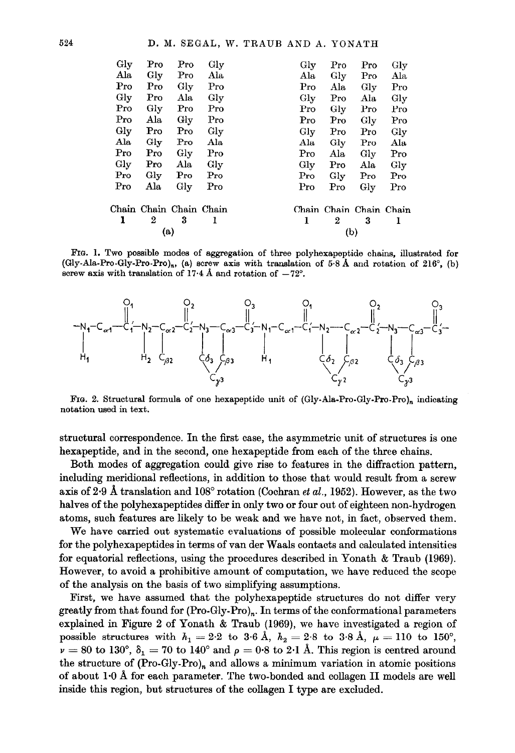| Gly          | Pro              | Pro                     | Gly          | Gly          | Pro              | Pro                     | Gly        |
|--------------|------------------|-------------------------|--------------|--------------|------------------|-------------------------|------------|
| Ala          | Gly              | $\Pr$ o                 | Ala          | Ala          | Gly              | Pro                     | Ala        |
| Pro          | Pro              | Gly                     | $\rm Pro$    | Pro          | Ala              | $\rm\,Gly$              | Pro        |
| Gly          | Pro              | Ala                     | Gly          | Gly          | Pro              | Ala                     | Gly        |
| Pro          | Gly              | Pro                     | Pro          | Pro          | Gly              | Pro                     | Pro        |
| Pro          | Ala              | Gly                     | Pro          | Pro          | Pro              | $\rm\,Gly$              | Pro        |
| Gly          | Pro              | Pro                     | Gly          | Gly          | Pro              | Pro                     | $\rm{Gly}$ |
| Ala          | $\rm{Gly}$       | $\mathbf{Pro}$          | Ala          | Ala          | Gly              | Pro                     | Ala        |
| Pro          | Pro              | $_{\rm Gly}$            | Pro          | Pro          | Ala              | $\rm{Glv}$              | Pro        |
| $_{\rm Gly}$ | Pro              | Ala                     | $_{\rm Gly}$ | $_{\rm Gly}$ | Pro              | Ala                     | Gly        |
| Pro          | $_{\rm Gly}$     | Pro                     | Pro          | Pro          | Gly              | Pro                     | Pro        |
| Pro          | Ala              | Gly                     | Pro          | Pro          | Pro              | Gly                     | $\rm Pro$  |
|              |                  | Chain Chain Chain Chain |              |              |                  | Chain Chain Chain Chain |            |
| ı            | $\boldsymbol{2}$ | 3                       | 1            | 1            | $\boldsymbol{2}$ | 3                       | 1          |
|              | (a)              |                         |              |              | (b)              |                         |            |

FIG. 1. Two possible modes of aggregation of three polyhexapeptide chains, illustrated for (Gly-Ala-Pro-Gly-Pro-Pro)<sub>n</sub>, (a) screw axis with translation of 5.8 Å and rotation of 216°, (b) screw axis with translation of 17.4 Å and rotation of  $-72^{\circ}$ .



FIG. 2. Structural formula of one hexapeptide unit of (Gly-Ala-Pro-Gly-Pro-Pro), indicating notation used in text.

structural correspondence. In the first case, the asymmetric unit of structures is one hexapeptide, and in the second, one hexapeptide from each of the three chains.

Both modes of aggregation could give rise to features in the diffraction pattern, including meridional reflections, in addition to those that would result from a screw axis of 2.9 A translation and  $108^{\circ}$  rotation (Cochran *et al.*, 1952). However, as the two halves of the polyhexapeptides differ in only two or four out of eighteen non-hydrogen atoms, such features are likely to be weak end we have not, in fact, observed them.

We have carried out systematic evaluations of possible molecular conformations for the polyhexapeptides in terms of van der Waals contacts and calculated intensities for equatorial reflections, using the procedures described in Yonath & Traub (1969). However, to avoid a prohibitive amount of computation, we have reduced the scope of the anslysis on the basis of two simplifying assumptions.

First, we have assumed that the polyhexapeptide structures do not differ very greatly from that found for (Pro-Gly-Pro),. In terms of the conformational parameters explained in Figure 2 of Yonath & Traub (1969), we have investigated a region of possible structures with  $h_1 = 2.2$  to 3.6 Å,  $h_2 = 2.8$  to 3.8 Å,  $\mu = 110$  to 150°,  $\nu = 80$  to 130°,  $\delta_1 = 70$  to 140° and  $\rho = 0.8$  to 2.1 Å. This region is centred around the structure of  $(Pro-Gly-Pro)<sub>n</sub>$  and allows a minimum variation in atomic positions of about 1-O A for each parameter. The two-bonded and collagen II models are well inside this region, but structures of the collagen I type are excluded.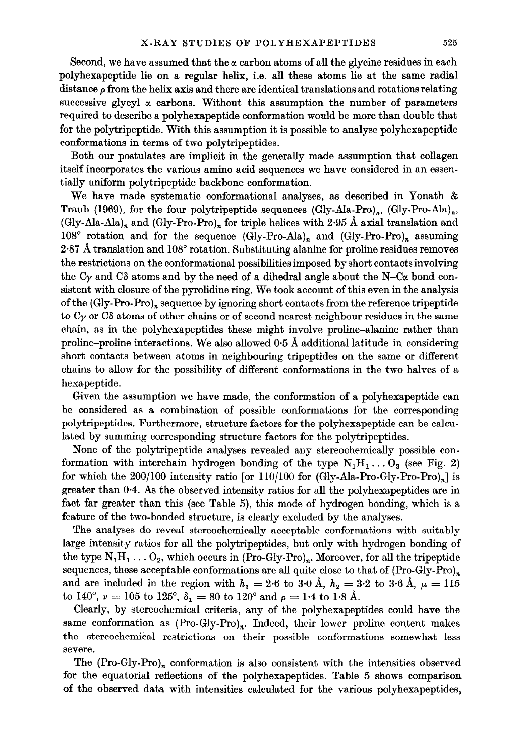Second, we have assumed that the  $\alpha$  carbon atoms of all the glycine residues in each polyhexapeptide lie on a regular helix, i.e. all these atoms lie at the same radial distance  $\rho$  from the helix axis and there are identical translations and rotations relating successive glycyl  $\alpha$  carbons. Without this assumption the number of parameters required to describe a polyhexapeptide conformation would be more than double that for the polytripeptide. With this assumption it is possible to analyse polyhexapeptide conformations in terms of two polytripeptides.

Both our postulates are implicit in the generally made assumption that collagen itself incorporates the various ammo acid sequences we have considered in an easentially uniform polytripeptide backbone conformation.

We have made systematic conformational analyses, as described in Yonath & Traub (1969), for the four polytripeptide sequences (Gly-Ala-Pro)<sub>n</sub>, (Gly-Pro-Ala)<sub>n</sub>, (Gly-Ala-Ala)<sub>n</sub> and (Gly-Pro-Pro)<sub>n</sub> for triple helices with 2.95 Å axial translation and  $108^{\circ}$  rotation and for the sequence (Gly-Pro-Ala)<sub>n</sub> and (Gly-Pro-Pro)<sub>n</sub> assuming  $2.87$  A translation and  $108^{\circ}$  rotation. Substituting alanine for proline residues removes the restrictions on the conformational possibilities imposed by short contacts involving the C<sub>Y</sub> and C<sub>δ</sub> atoms and by the need of a dihedral angle about the N–C<sub>α</sub> bond consistent with closure of the pyrolidine ring. We took account of this even in the analysis of the  $(Gly-Pro-Pro)_n$  sequence by ignoring short contacts from the reference tripeptide to  $C_{\gamma}$  or CS atoms of other chains or of second nearest neighbour residues in the same chain, as in the polyhexapeptides these might involve proline-alanine rather than proline-proline interactions. We also allowed O-5 A additional latitude in considering short contacts between atoms in neighbouring tripeptides on the same or different chains to allow for the possibility of different conformations in the two halves of a hexapeptide.

Given the assumption we have made, the conformation of a polyhexapeptide can be considered as a combination of possible conformations for the corresponding polytripeptides. Furthermore, structure factors for the polyhexapeptide can be calculated by summing corresponding structure factors for the polytripeptides.

None of the polytripeptide analyses revealed any stereochemically possible conformation with interchain hydrogen bonding of the type  $N_1H_1 \ldots O_3$  (see Fig. 2) for which the 200/100 intensity ratio [or 110/100 for (Gly-Ala-Pro-Gly-Pro-Pro)<sub>n</sub>] is greater than O-4. As the observed intensity ratios for all the polyhexapeptides are in fact far greater than this (see Table 5), this mode of hydrogen bonding, which is a feature of the two-bonded structure, is clearly excluded by the analyses.

The analyses do reveal stereochemically acceptable conformations with suitably large intensity ratios for all the polytripeptides, but only with hydrogen bonding of the type  $N_1H_1 \ldots O_2$ , which occurs in (Pro-Gly-Pro)<sub>n</sub>. Moreover, for all the tripeptide sequences, these acceptable conformations are all quite close to that of  $(Pro-Gly-Pro)_{n}$ and are included in the region with  $h_1 = 2.6$  to 3.0 Å,  $h_2 = 3.2$  to 3.6 Å,  $\mu = 115$ to 140°,  $\nu = 105$  to 125°,  $\delta_1 = 80$  to 120° and  $\rho = 1.4$  to 1.8 Å.

Clearly, by stereochemical criteria, any of the polyhexapeptides could have the same conformation as  $(Pro-Gly-Pro)<sub>n</sub>$ . Indeed, their lower proline content makes the stereochemical restrictions on their possible conformations somewhat less severe.

The  $(Pro-Gly-Pro)<sub>n</sub>$  conformation is also consistent with the intensities observed for the equatorial reflections of the polyhexapeptides. Table 5 shows comparison of the observed data with intensities calculated for the various polyhexapeptides,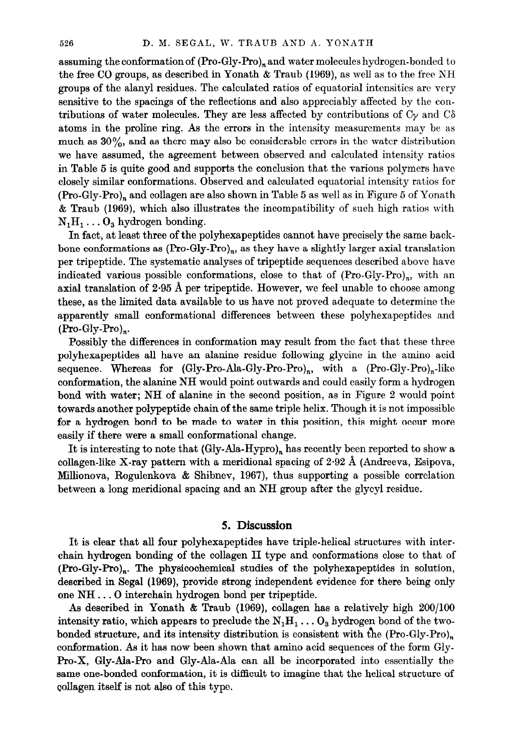assuming the conformation of  $(Pro-Gly-Pro)_{n}$  and water molecules hydrogen-bonded to the free CO groups, as described in Yonath & Traub (1969), as well as to the free NH groups of the alanyl residues. The calculated ratios of equatorial intensities are very sensitive to the spacings of the reflections and also appreciably affected by the contributions of water molecules. They are less affected by contributions of  $C_{\gamma}$  and  $C_{\delta}$ atoms in the proline ring. As the errors in the intensity measurements may be as much as  $30\%$ , and as there may also be considerable errors in the water distribution we have assumed, the agreement between observed and calculated intensity ratios in Table 5 is quite good and supports the conclusion that the various polymers have closely similar conformations. Observed and calculated equatorial intensity ratios for  $(Pro-Gly-Pro)<sub>n</sub>$  and collagen are also shown in Table 5 as well as in Figure 5 of Yonath & Traub (1969), which also illustrates the incompatibility of such high ratios with  $N_1H_1 \ldots O_3$  hydrogen bonding.

In fact, at least three of the polyhexapeptides cannot have precisely the same backbone conformations as  $(Pro-Gly-Pro)_n$ , as they have a slightly larger axial translation per tripeptide. The systematic analyses of tripeptide sequences described above have indicated various possible conformations, close to that of  $(Pro-Gly-Pro)_{n}$ , with an axial translation of 2.95 A per tripeptide. However, we feel unable to choose among these, as the limited data available to us have not proved adequate to determine the apparently small conformational differences between these polyhexapepticles and  $(Pro-Gly-Pro)<sub>n</sub>$ .

Possibly the differences in conformation may result from the fact that these three polyhexapepticles all have an alanine residue following glycine in the amino acid sequence. Whereas for  $(Gly-Pro-Ala-Gly-Pro-Pro)_{n}$ , with a  $(Pro-Gly-Pro)_{n}$ -like conformation, the alanine NH would point outwards and could easily form a hydrogen bond with water; NH of alanine in the second position, as in Figure 2 would point towards another polypeptide chain of the same triple helix. Though it is not impossible for a hydrogen bond to be made to water in this position, this might occur more easily if there were a small conformational change.

It is interesting to note that (Gly-Ala-Hypro), has recently been reported to show a collagen-like X-ray pattern with a meridional spacing of 2.92 A (Andreeva, Esipova, Millionova, Rogulenkova  $\&$  Shibnev, 1967), thus supporting a possible correlation between a long meridional spacing and an NH group after the glycyl residue.

# 5. Discussion

It is clear that all four polyhexapeptides have triple-helical structures with interchain hydrogen bonding of the collagen II type and conformations close to that of (Pro-Gly-Pro),. The physicochemical studies of the polyhexapeptides in solution, described in Segal (1969), provide strong independent evidence for there being only one NH . . . 0 interchain hydrogen bond per tripeptide.

As described in Yonath  $\&$  Traub (1969), collagen has a relatively high  $200/100$ intensity ratio, which appears to preclude the  $N_1H_1 \ldots O_3$  hydrogen bond of the twobonded structure, and its intensity distribution is consistent with the  $(Pro-Gly-Pro)<sub>n</sub>$ conformation. Aa it has now been shown that amino acid sequences of the form Gly-Pro-X, Gly-Ala-Pro and Gly-Ala-Ala can all be incorporated into essentially the same one-bonded conformation, it is difficult to imagine that the helical structure of collagen itself is not also of this type.